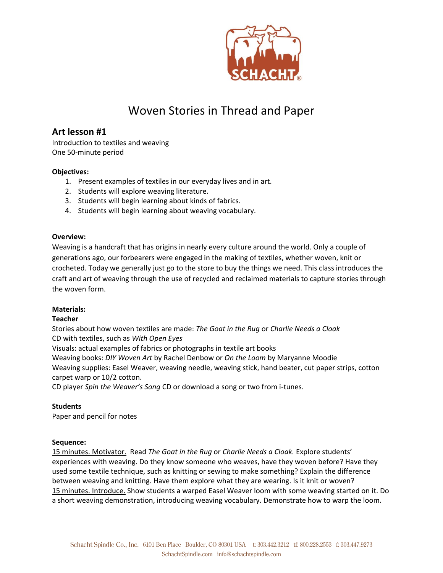

# Woven Stories in Thread and Paper

# **Art lesson #1**

Introduction to textiles and weaving One 50-minute period

# **Objectives:**

- 1. Present examples of textiles in our everyday lives and in art.
- 2. Students will explore weaving literature.
- 3. Students will begin learning about kinds of fabrics.
- 4. Students will begin learning about weaving vocabulary.

# **Overview:**

Weaving is a handcraft that has origins in nearly every culture around the world. Only a couple of generations ago, our forbearers were engaged in the making of textiles, whether woven, knit or crocheted. Today we generally just go to the store to buy the things we need. This class introduces the craft and art of weaving through the use of recycled and reclaimed materials to capture stories through the woven form.

# **Materials:**

# **Teacher**

Stories about how woven textiles are made: *The Goat in the Rug* or *Charlie Needs a Cloak* CD with textiles, such as *With Open Eyes*

Visuals: actual examples of fabrics or photographs in textile art books

Weaving books: *DIY Woven Art* by Rachel Denbow or *On the Loom* by Maryanne Moodie Weaving supplies: Easel Weaver, weaving needle, weaving stick, hand beater, cut paper strips, cotton carpet warp or 10/2 cotton.

CD player *Spin the Weaver's Song* CD or download a song or two from i-tunes.

# **Students**

Paper and pencil for notes

#### **Sequence:**

15 minutes. Motivator. Read *The Goat in the Rug* or *Charlie Needs a Cloak.* Explore students' experiences with weaving. Do they know someone who weaves, have they woven before? Have they used some textile technique, such as knitting or sewing to make something? Explain the difference between weaving and knitting. Have them explore what they are wearing. Is it knit or woven? 15 minutes. Introduce. Show students a warped Easel Weaver loom with some weaving started on it. Do a short weaving demonstration, introducing weaving vocabulary. Demonstrate how to warp the loom.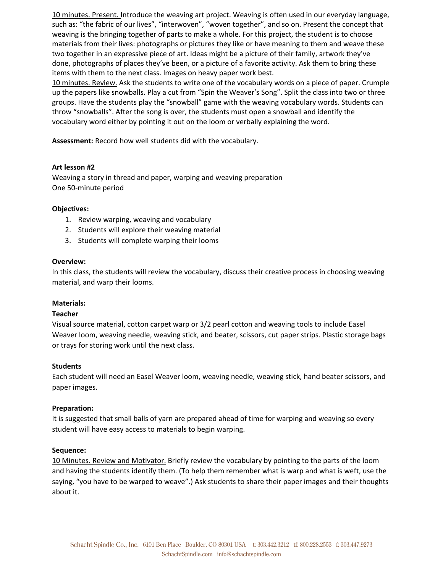10 minutes. Present. Introduce the weaving art project. Weaving is often used in our everyday language, such as: "the fabric of our lives", "interwoven", "woven together", and so on. Present the concept that weaving is the bringing together of parts to make a whole. For this project, the student is to choose materials from their lives: photographs or pictures they like or have meaning to them and weave these two together in an expressive piece of art. Ideas might be a picture of their family, artwork they've done, photographs of places they've been, or a picture of a favorite activity. Ask them to bring these items with them to the next class. Images on heavy paper work best.

10 minutes. Review. Ask the students to write one of the vocabulary words on a piece of paper. Crumple up the papers like snowballs. Play a cut from "Spin the Weaver's Song". Split the class into two or three groups. Have the students play the "snowball" game with the weaving vocabulary words. Students can throw "snowballs". After the song is over, the students must open a snowball and identify the vocabulary word either by pointing it out on the loom or verbally explaining the word.

**Assessment:** Record how well students did with the vocabulary.

# **Art lesson #2**

Weaving a story in thread and paper, warping and weaving preparation One 50-minute period

# **Objectives:**

- 1. Review warping, weaving and vocabulary
- 2. Students will explore their weaving material
- 3. Students will complete warping their looms

#### **Overview:**

In this class, the students will review the vocabulary, discuss their creative process in choosing weaving material, and warp their looms.

#### **Materials:**

#### **Teacher**

Visual source material, cotton carpet warp or 3/2 pearl cotton and weaving tools to include Easel Weaver loom, weaving needle, weaving stick, and beater, scissors, cut paper strips. Plastic storage bags or trays for storing work until the next class.

#### **Students**

Each student will need an Easel Weaver loom, weaving needle, weaving stick, hand beater scissors, and paper images.

#### **Preparation:**

It is suggested that small balls of yarn are prepared ahead of time for warping and weaving so every student will have easy access to materials to begin warping.

#### **Sequence:**

10 Minutes. Review and Motivator. Briefly review the vocabulary by pointing to the parts of the loom and having the students identify them. (To help them remember what is warp and what is weft, use the saying, "you have to be warped to weave".) Ask students to share their paper images and their thoughts about it.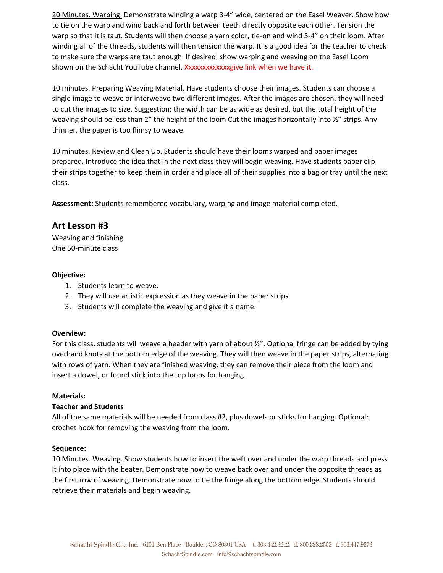20 Minutes. Warping. Demonstrate winding a warp 3-4" wide, centered on the Easel Weaver. Show how to tie on the warp and wind back and forth between teeth directly opposite each other. Tension the warp so that it is taut. Students will then choose a yarn color, tie-on and wind 3-4" on their loom. After winding all of the threads, students will then tension the warp. It is a good idea for the teacher to check to make sure the warps are taut enough. If desired, show warping and weaving on the Easel Loom shown on the Schacht YouTube channel. Xxxxxxxxxxxxxgive link when we have it.

10 minutes. Preparing Weaving Material. Have students choose their images. Students can choose a single image to weave or interweave two different images. After the images are chosen, they will need to cut the images to size. Suggestion: the width can be as wide as desired, but the total height of the weaving should be less than 2" the height of the loom Cut the images horizontally into  $\frac{1}{2}$ " strips. Any thinner, the paper is too flimsy to weave.

10 minutes. Review and Clean Up. Students should have their looms warped and paper images prepared. Introduce the idea that in the next class they will begin weaving. Have students paper clip their strips together to keep them in order and place all of their supplies into a bag or tray until the next class.

**Assessment:** Students remembered vocabulary, warping and image material completed.

# **Art Lesson #3**

Weaving and finishing One 50-minute class

#### **Objective:**

- 1. Students learn to weave.
- 2. They will use artistic expression as they weave in the paper strips.
- 3. Students will complete the weaving and give it a name.

#### **Overview:**

For this class, students will weave a header with yarn of about ½". Optional fringe can be added by tying overhand knots at the bottom edge of the weaving. They will then weave in the paper strips, alternating with rows of yarn. When they are finished weaving, they can remove their piece from the loom and insert a dowel, or found stick into the top loops for hanging.

#### **Materials:**

#### **Teacher and Students**

All of the same materials will be needed from class #2, plus dowels or sticks for hanging. Optional: crochet hook for removing the weaving from the loom.

#### **Sequence:**

10 Minutes. Weaving. Show students how to insert the weft over and under the warp threads and press it into place with the beater. Demonstrate how to weave back over and under the opposite threads as the first row of weaving. Demonstrate how to tie the fringe along the bottom edge. Students should retrieve their materials and begin weaving.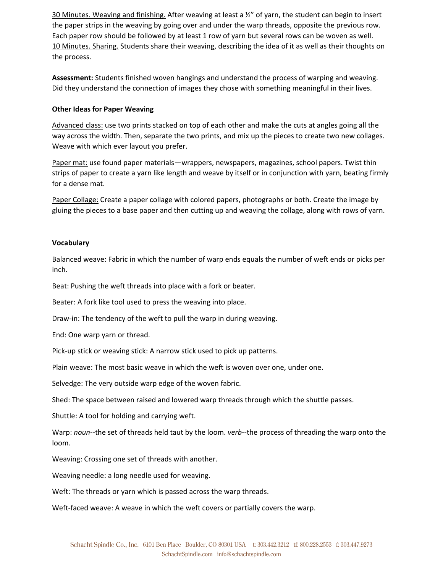30 Minutes. Weaving and finishing. After weaving at least a ½" of yarn, the student can begin to insert the paper strips in the weaving by going over and under the warp threads, opposite the previous row. Each paper row should be followed by at least 1 row of yarn but several rows can be woven as well. 10 Minutes. Sharing. Students share their weaving, describing the idea of it as well as their thoughts on the process.

**Assessment:** Students finished woven hangings and understand the process of warping and weaving. Did they understand the connection of images they chose with something meaningful in their lives.

#### **Other Ideas for Paper Weaving**

Advanced class: use two prints stacked on top of each other and make the cuts at angles going all the way across the width. Then, separate the two prints, and mix up the pieces to create two new collages. Weave with which ever layout you prefer.

Paper mat: use found paper materials—wrappers, newspapers, magazines, school papers. Twist thin strips of paper to create a yarn like length and weave by itself or in conjunction with yarn, beating firmly for a dense mat.

Paper Collage: Create a paper collage with colored papers, photographs or both. Create the image by gluing the pieces to a base paper and then cutting up and weaving the collage, along with rows of yarn.

# **Vocabulary**

Balanced weave: Fabric in which the number of warp ends equals the number of weft ends or picks per inch.

Beat: Pushing the weft threads into place with a fork or beater.

Beater: A fork like tool used to press the weaving into place.

Draw-in: The tendency of the weft to pull the warp in during weaving.

End: One warp yarn or thread.

Pick-up stick or weaving stick: A narrow stick used to pick up patterns.

Plain weave: The most basic weave in which the weft is woven over one, under one.

Selvedge: The very outside warp edge of the woven fabric.

Shed: The space between raised and lowered warp threads through which the shuttle passes.

Shuttle: A tool for holding and carrying weft.

Warp: *noun--*the set of threads held taut by the loom. *verb*--the process of threading the warp onto the loom.

Weaving: Crossing one set of threads with another.

Weaving needle: a long needle used for weaving.

Weft: The threads or yarn which is passed across the warp threads.

Weft-faced weave: A weave in which the weft covers or partially covers the warp.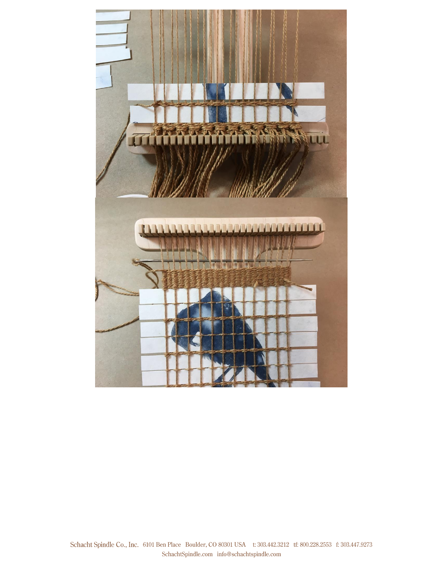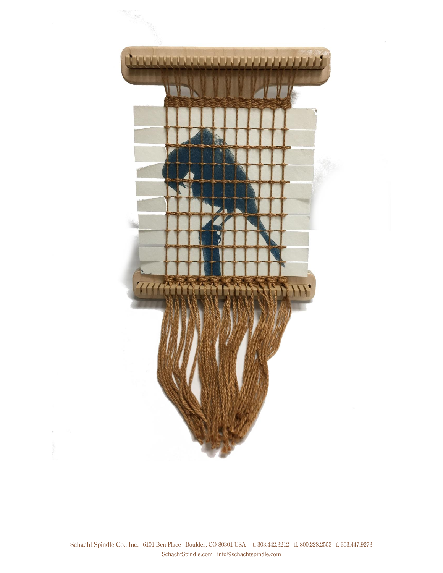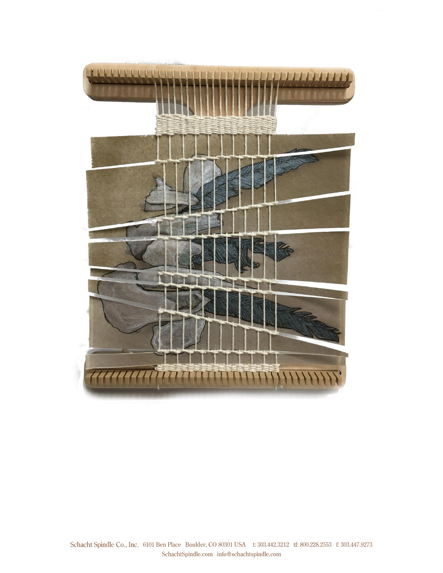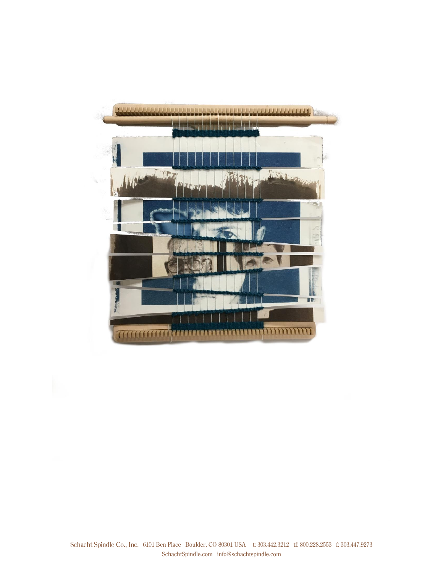